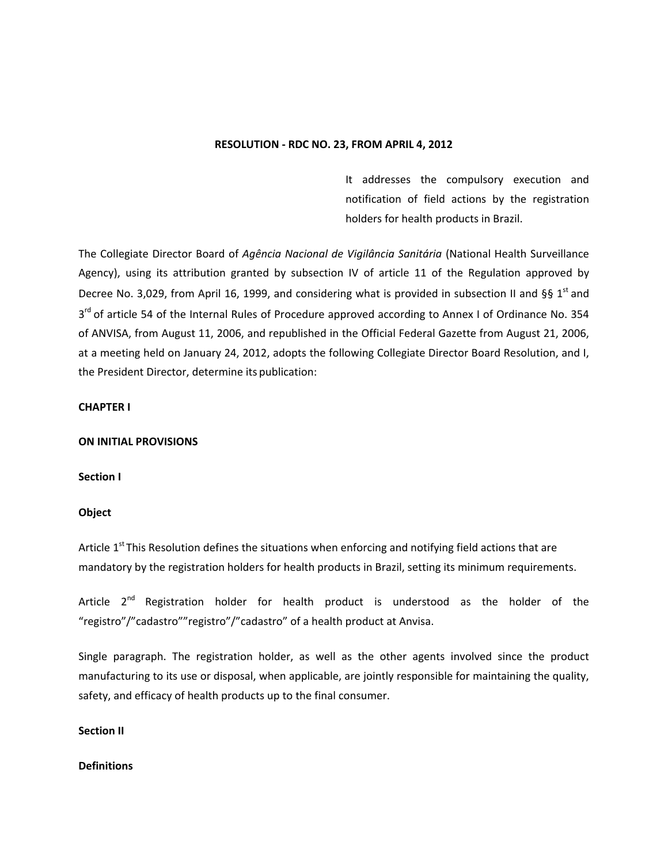#### **RESOLUTION - RDC NO. 23, FROM APRIL 4, 2012**

It addresses the compulsory execution and notification of field actions by the registration holders for health products in Brazil.

The Collegiate Director Board of *Agência Nacional de Vigilância Sanitária* (National Health Surveillance Agency), using its attribution granted by subsection IV of article 11 of the Regulation approved by Decree No. 3,029, from April 16, 1999, and considering what is provided in subsection II and §§ 1<sup>st</sup> and 3<sup>rd</sup> of article 54 of the Internal Rules of Procedure approved according to Annex I of Ordinance No. 354 of ANVISA, from August 11, 2006, and republished in the Official Federal Gazette from August 21, 2006, at a meeting held on January 24, 2012, adopts the following Collegiate Director Board Resolution, and I, the President Director, determine its publication:

### **CHAPTER I**

### **ON INITIAL PROVISIONS**

### **Section I**

### **Object**

Article  $1^{st}$  This Resolution defines the situations when enforcing and notifying field actions that are mandatory by the registration holders for health products in Brazil, setting its minimum requirements.

Article  $2^{nd}$  Registration holder for health product is understood as the holder of the "registro"/"cadastro""registro"/"cadastro" of a health product at Anvisa.

Single paragraph. The registration holder, as well as the other agents involved since the product manufacturing to its use or disposal, when applicable, are jointly responsible for maintaining the quality, safety, and efficacy of health products up to the final consumer.

### **Section II**

### **Definitions**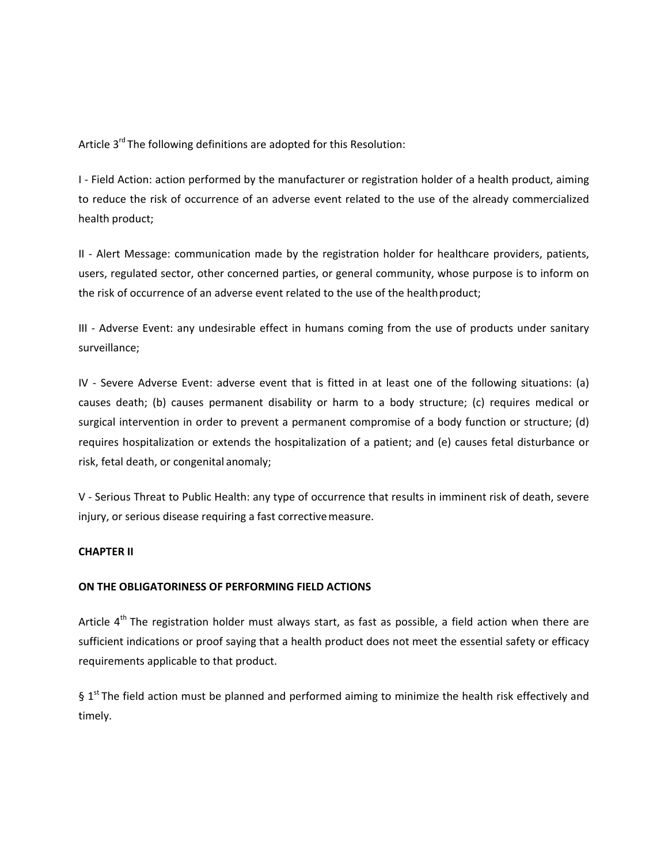Article 3<sup>rd</sup> The following definitions are adopted for this Resolution:

I - Field Action: action performed by the manufacturer or registration holder of a health product, aiming to reduce the risk of occurrence of an adverse event related to the use of the already commercialized health product;

II - Alert Message: communication made by the registration holder for healthcare providers, patients, users, regulated sector, other concerned parties, or general community, whose purpose is to inform on the risk of occurrence of an adverse event related to the use of the healthproduct;

III - Adverse Event: any undesirable effect in humans coming from the use of products under sanitary surveillance;

IV - Severe Adverse Event: adverse event that is fitted in at least one of the following situations: (a) causes death; (b) causes permanent disability or harm to a body structure; (c) requires medical or surgical intervention in order to prevent a permanent compromise of a body function or structure; (d) requires hospitalization or extends the hospitalization of a patient; and (e) causes fetal disturbance or risk, fetal death, or congenital anomaly;

V - Serious Threat to Public Health: any type of occurrence that results in imminent risk of death, severe injury, or serious disease requiring a fast correctivemeasure.

# **CHAPTER II**

### **ON THE OBLIGATORINESS OF PERFORMING FIELD ACTIONS**

Article  $4<sup>th</sup>$  The registration holder must always start, as fast as possible, a field action when there are sufficient indications or proof saying that a health product does not meet the essential safety or efficacy requirements applicable to that product.

§ 1<sup>st</sup> The field action must be planned and performed aiming to minimize the health risk effectively and timely.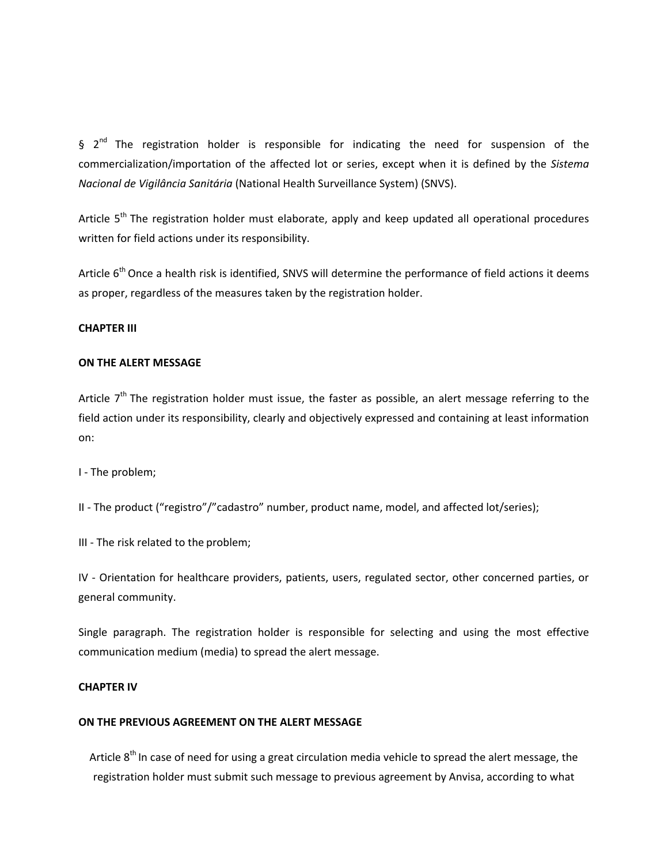$\frac{1}{2}$  2<sup>nd</sup> The registration holder is responsible for indicating the need for suspension of the commercialization/importation of the affected lot or series, except when it is defined by the *Sistema Nacional de Vigilância Sanitária* (National Health Surveillance System) (SNVS).

Article  $5<sup>th</sup>$  The registration holder must elaborate, apply and keep updated all operational procedures written for field actions under its responsibility.

Article  $6<sup>th</sup>$  Once a health risk is identified, SNVS will determine the performance of field actions it deems as proper, regardless of the measures taken by the registration holder.

### **CHAPTER III**

### **ON THE ALERT MESSAGE**

Article  $7<sup>th</sup>$  The registration holder must issue, the faster as possible, an alert message referring to the field action under its responsibility, clearly and objectively expressed and containing at least information on:

I - The problem;

II - The product ("registro"/"cadastro" number, product name, model, and affected lot/series);

III - The risk related to the problem;

IV - Orientation for healthcare providers, patients, users, regulated sector, other concerned parties, or general community.

Single paragraph. The registration holder is responsible for selecting and using the most effective communication medium (media) to spread the alert message.

### **CHAPTER IV**

### **ON THE PREVIOUS AGREEMENT ON THE ALERT MESSAGE**

Article  $8<sup>th</sup>$  In case of need for using a great circulation media vehicle to spread the alert message, the registration holder must submit such message to previous agreement by Anvisa, according to what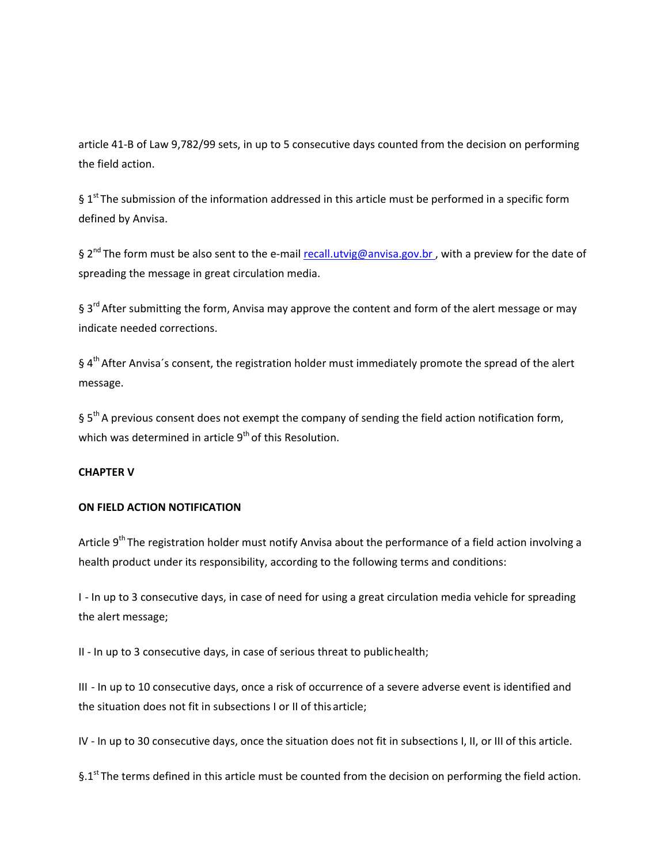article 41-B of Law 9,782/99 sets, in up to 5 consecutive days counted from the decision on performing the field action.

§  $1<sup>st</sup>$  The submission of the information addressed in this article must be performed in a specific form defined by Anvisa.

§ 2<sup>nd</sup> The form must be also sent to the e-mail recall.utvig@anvisa.gov.br, with a preview for the date of spreading the message in great circulation media.

§ 3<sup>rd</sup> After submitting the form, Anvisa may approve the content and form of the alert message or may indicate needed corrections.

§ 4<sup>th</sup> After Anvisa's consent, the registration holder must immediately promote the spread of the alert message.

§ 5<sup>th</sup> A previous consent does not exempt the company of sending the field action notification form, which was determined in article 9<sup>th</sup> of this Resolution.

## **CHAPTER V**

## **ON FIELD ACTION NOTIFICATION**

Article  $9<sup>th</sup>$  The registration holder must notify Anvisa about the performance of a field action involving a health product under its responsibility, according to the following terms and conditions:

I - In up to 3 consecutive days, in case of need for using a great circulation media vehicle for spreading the alert message;

II - In up to 3 consecutive days, in case of serious threat to publichealth;

III - In up to 10 consecutive days, once a risk of occurrence of a severe adverse event is identified and the situation does not fit in subsections I or II of this article;

IV - In up to 30 consecutive days, once the situation does not fit in subsections I, II, or III of this article.

 $§$ .1<sup>st</sup> The terms defined in this article must be counted from the decision on performing the field action.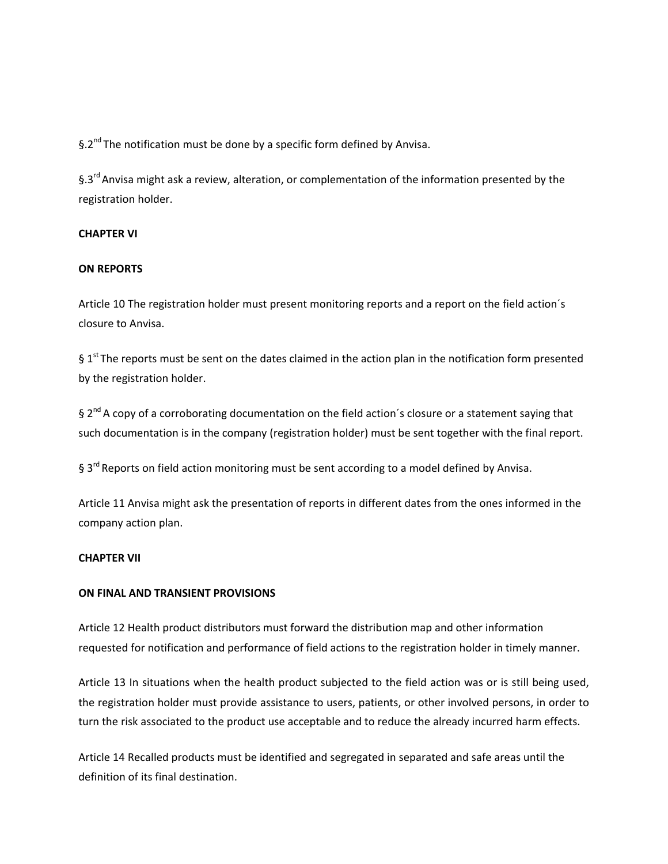§.2<sup>nd</sup> The notification must be done by a specific form defined by Anvisa.

§.3<sup>rd</sup> Anvisa might ask a review, alteration, or complementation of the information presented by the registration holder.

# **CHAPTER VI**

### **ON REPORTS**

Article 10 The registration holder must present monitoring reports and a report on the field action´s closure to Anvisa.

 $§$  1<sup>st</sup> The reports must be sent on the dates claimed in the action plan in the notification form presented by the registration holder.

 $\frac{1}{2}$  2<sup>nd</sup> A copy of a corroborating documentation on the field action's closure or a statement saying that such documentation is in the company (registration holder) must be sent together with the final report.

§ 3<sup>rd</sup> Reports on field action monitoring must be sent according to a model defined by Anvisa.

Article 11 Anvisa might ask the presentation of reports in different dates from the ones informed in the company action plan.

### **CHAPTER VII**

### **ON FINAL AND TRANSIENT PROVISIONS**

Article 12 Health product distributors must forward the distribution map and other information requested for notification and performance of field actions to the registration holder in timely manner.

Article 13 In situations when the health product subjected to the field action was or is still being used, the registration holder must provide assistance to users, patients, or other involved persons, in order to turn the risk associated to the product use acceptable and to reduce the already incurred harm effects.

Article 14 Recalled products must be identified and segregated in separated and safe areas until the definition of its final destination.